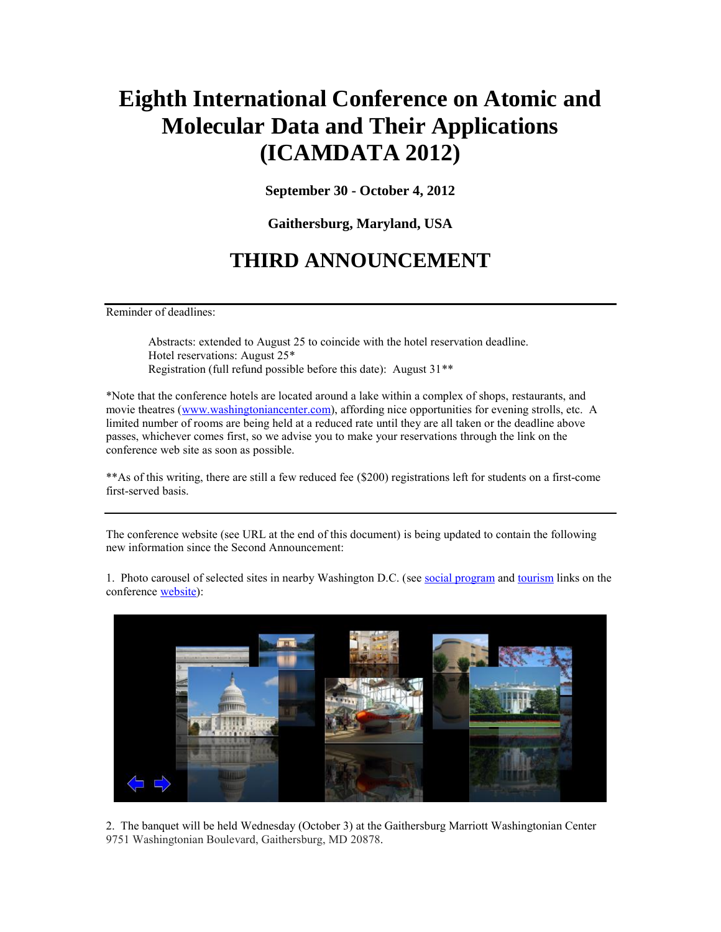## **Eighth International Conference on Atomic and Molecular Data and Their Applications (ICAMDATA 2012)**

**September 30 - October 4, 2012**

**Gaithersburg, Maryland, USA**

## **THIRD ANNOUNCEMENT**

Reminder of deadlines:

Abstracts: extended to August 25 to coincide with the hotel reservation deadline. Hotel reservations: August 25\* Registration (full refund possible before this date): August 31\*\*

\*Note that the conference hotels are located around a lake within a complex of shops, restaurants, and movie theatres [\(www.washingtoniancenter.com\)](http://www.washingtoniancenter.com/), affording nice opportunities for evening strolls, etc. A limited number of rooms are being held at a reduced rate until they are all taken or the deadline above passes, whichever comes first, so we advise you to make your reservations through the link on the conference web site as soon as possible.

\*\*As of this writing, there are still a few reduced fee (\$200) registrations left for students on a first-come first-served basis.

The conference website (see URL at the end of this document) is being updated to contain the following new information since the Second Announcement:

1. Photo carousel of selected sites in nearby Washington D.C. (see [social program](http://physics.nist.gov/Icamdata/index.php?view=socialprogram) and [tourism](http://physics.nist.gov/Icamdata/index.php?view=tourism) links on the conference [website\)](http://physics.nist.gov/Icamdata/index.php):



2. The banquet will be held Wednesday (October 3) at the Gaithersburg Marriott Washingtonian Center 9751 Washingtonian Boulevard, Gaithersburg, MD 20878.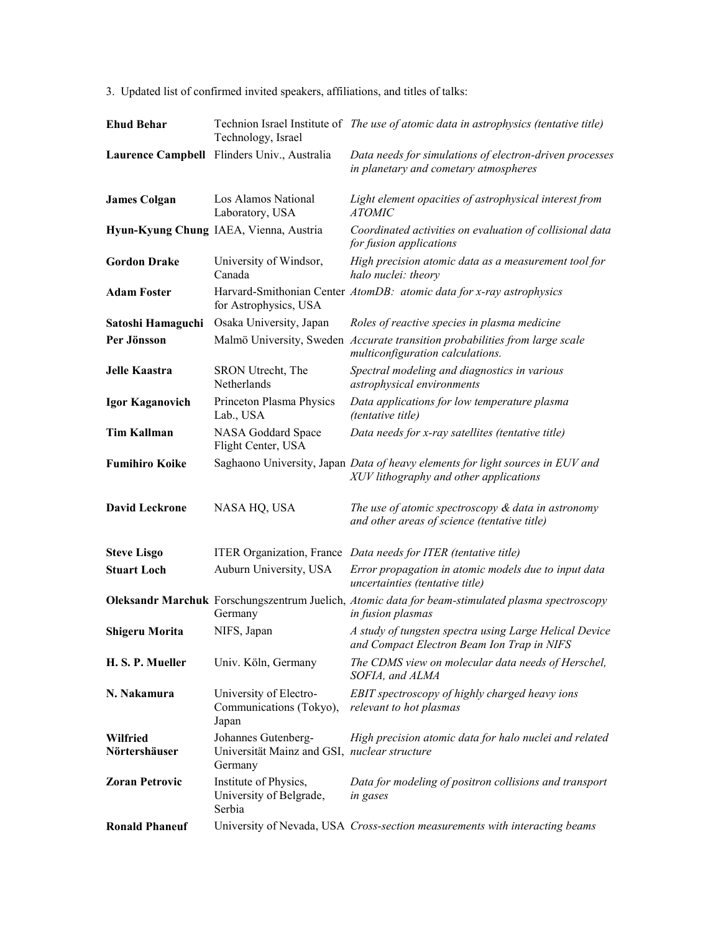3. Updated list of confirmed invited speakers, affiliations, and titles of talks:

| <b>Ehud Behar</b>         | Technology, Israel                                                             | Technion Israel Institute of The use of atomic data in astrophysics (tentative title)                                    |
|---------------------------|--------------------------------------------------------------------------------|--------------------------------------------------------------------------------------------------------------------------|
|                           | Laurence Campbell Flinders Univ., Australia                                    | Data needs for simulations of electron-driven processes<br>in planetary and cometary atmospheres                         |
| <b>James Colgan</b>       | Los Alamos National<br>Laboratory, USA                                         | Light element opacities of astrophysical interest from<br><i>ATOMIC</i>                                                  |
|                           | Hyun-Kyung Chung IAEA, Vienna, Austria                                         | Coordinated activities on evaluation of collisional data<br>for fusion applications                                      |
| <b>Gordon Drake</b>       | University of Windsor,<br>Canada                                               | High precision atomic data as a measurement tool for<br>halo nuclei: theory                                              |
| <b>Adam Foster</b>        | for Astrophysics, USA                                                          | Harvard-Smithonian Center AtomDB: atomic data for x-ray astrophysics                                                     |
| Satoshi Hamaguchi         | Osaka University, Japan                                                        | Roles of reactive species in plasma medicine                                                                             |
| Per Jönsson               |                                                                                | Malmö University, Sweden Accurate transition probabilities from large scale<br>multiconfiguration calculations.          |
| Jelle Kaastra             | SRON Utrecht, The<br>Netherlands                                               | Spectral modeling and diagnostics in various<br>astrophysical environments                                               |
| <b>Igor Kaganovich</b>    | Princeton Plasma Physics<br>Lab., USA                                          | Data applications for low temperature plasma<br><i>(tentative title)</i>                                                 |
| <b>Tim Kallman</b>        | NASA Goddard Space<br>Flight Center, USA                                       | Data needs for x-ray satellites (tentative title)                                                                        |
| <b>Fumihiro Koike</b>     |                                                                                | Saghaono University, Japan Data of heavy elements for light sources in EUV and<br>XUV lithography and other applications |
| <b>David Leckrone</b>     | NASA HQ, USA                                                                   | The use of atomic spectroscopy $\&$ data in astronomy<br>and other areas of science (tentative title)                    |
| <b>Steve Lisgo</b>        |                                                                                | ITER Organization, France Data needs for ITER (tentative title)                                                          |
| <b>Stuart Loch</b>        | Auburn University, USA                                                         | Error propagation in atomic models due to input data<br>uncertainties (tentative title)                                  |
|                           | Germany                                                                        | Oleksandr Marchuk Forschungszentrum Juelich, Atomic data for beam-stimulated plasma spectroscopy<br>in fusion plasmas    |
| <b>Shigeru Morita</b>     | NIFS, Japan                                                                    | A study of tungsten spectra using Large Helical Device<br>and Compact Electron Beam Ion Trap in NIFS                     |
| H. S. P. Mueller          | Univ. Köln, Germany                                                            | The CDMS view on molecular data needs of Herschel,<br>SOFIA, and ALMA                                                    |
| N. Nakamura               | University of Electro-<br>Communications (Tokyo),<br>Japan                     | EBIT spectroscopy of highly charged heavy ions<br>relevant to hot plasmas                                                |
| Wilfried<br>Nörtershäuser | Johannes Gutenberg-<br>Universität Mainz and GSI, nuclear structure<br>Germany | High precision atomic data for halo nuclei and related                                                                   |
| <b>Zoran Petrovic</b>     | Institute of Physics,<br>University of Belgrade,<br>Serbia                     | Data for modeling of positron collisions and transport<br>in gases                                                       |
| <b>Ronald Phaneuf</b>     |                                                                                | University of Nevada, USA Cross-section measurements with interacting beams                                              |